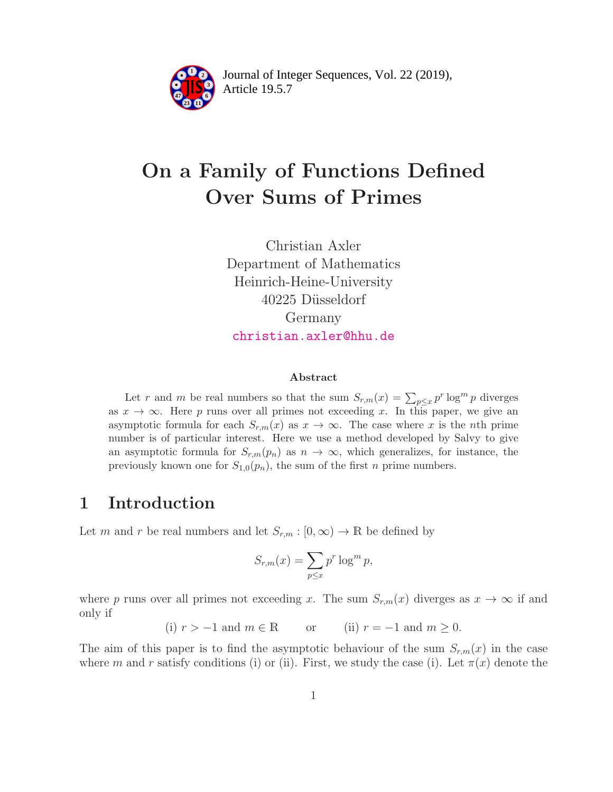

Article 19.5.7 **<sup>2</sup>** Journal of Integer Sequences, Vol. 22 (2019),

# On a Family of Functions Defined Over Sums of Primes

Christian Axler Department of Mathematics Heinrich-Heine-University 40225 Düsseldorf Germany <christian.axler@hhu.de>

#### Abstract

Let r and m be real numbers so that the sum  $S_{r,m}(x) = \sum_{p \leq x} p^r \log^m p$  diverges as  $x \to \infty$ . Here p runs over all primes not exceeding x. In this paper, we give an asymptotic formula for each  $S_{r,m}(x)$  as  $x \to \infty$ . The case where x is the nth prime number is of particular interest. Here we use a method developed by Salvy to give an asymptotic formula for  $S_{r,m}(p_n)$  as  $n \to \infty$ , which generalizes, for instance, the previously known one for  $S_{1,0}(p_n)$ , the sum of the first *n* prime numbers.

### 1 Introduction

Let m and r be real numbers and let  $S_{r,m} : [0, \infty) \to \mathbb{R}$  be defined by

$$
S_{r,m}(x) = \sum_{p \le x} p^r \log^m p,
$$

where p runs over all primes not exceeding x. The sum  $S_{r,m}(x)$  diverges as  $x \to \infty$  if and only if

(i)  $r > -1$  and  $m \in \mathbb{R}$  or (ii)  $r = -1$  and  $m \ge 0$ .

The aim of this paper is to find the asymptotic behaviour of the sum  $S_{r,m}(x)$  in the case where m and r satisfy conditions (i) or (ii). First, we study the case (i). Let  $\pi(x)$  denote the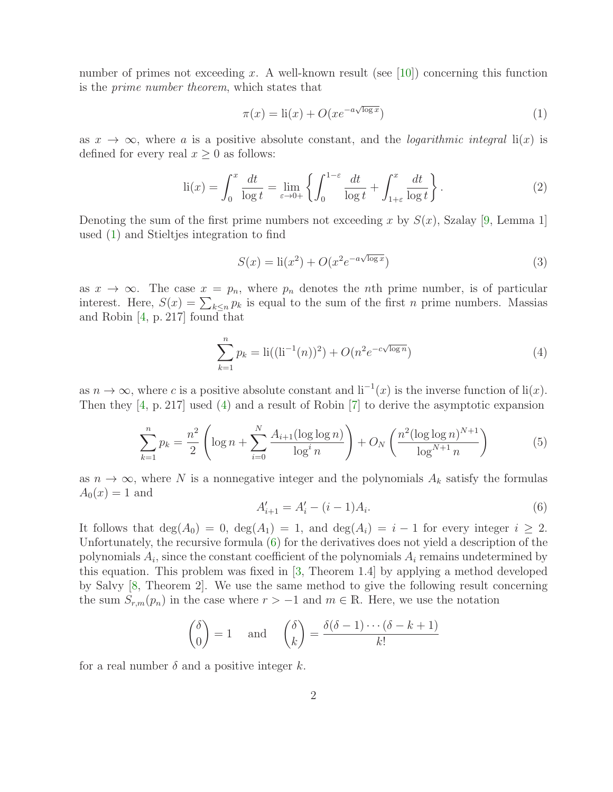number of primes not exceeding x. A well-known result (see [\[10\]](#page-10-0)) concerning this function is the *prime number theorem*, which states that

<span id="page-1-0"></span>
$$
\pi(x) = \text{li}(x) + O(xe^{-a\sqrt{\log x}})
$$
\n(1)

as  $x \to \infty$ , where a is a positive absolute constant, and the *logarithmic integral* li(x) is defined for every real  $x \geq 0$  as follows:

<span id="page-1-5"></span>
$$
\text{li}(x) = \int_0^x \frac{dt}{\log t} = \lim_{\varepsilon \to 0+} \left\{ \int_0^{1-\varepsilon} \frac{dt}{\log t} + \int_{1+\varepsilon}^x \frac{dt}{\log t} \right\}.
$$
 (2)

Denoting the sum of the first prime numbers not exceeding x by  $S(x)$ , Szalay [\[9,](#page-10-1) Lemma 1] used [\(1\)](#page-1-0) and Stieltjes integration to find

<span id="page-1-4"></span>
$$
S(x) = \text{li}(x^2) + O(x^2 e^{-a\sqrt{\log x}})
$$
\n
$$
(3)
$$

as  $x \to \infty$ . The case  $x = p_n$ , where  $p_n$  denotes the *n*th prime number, is of particular interest. Here,  $S(x) = \sum_{k \leq n} p_k$  is equal to the sum of the first *n* prime numbers. Massias and Robin [\[4,](#page-10-2) p. 217] found that

<span id="page-1-1"></span>
$$
\sum_{k=1}^{n} p_k = \text{li}((\text{li}^{-1}(n))^2) + O(n^2 e^{-c\sqrt{\log n}})
$$
\n(4)

as  $n \to \infty$ , where c is a positive absolute constant and  $\mathrm{li}^{-1}(x)$  is the inverse function of  $\mathrm{li}(x)$ . Then they [\[4,](#page-10-2) p. 217] used [\(4\)](#page-1-1) and a result of Robin [\[7\]](#page-10-3) to derive the asymptotic expansion

<span id="page-1-3"></span>
$$
\sum_{k=1}^{n} p_k = \frac{n^2}{2} \left( \log n + \sum_{i=0}^{N} \frac{A_{i+1} (\log \log n)}{\log^i n} \right) + O_N \left( \frac{n^2 (\log \log n)^{N+1}}{\log^{N+1} n} \right) \tag{5}
$$

as  $n \to \infty$ , where N is a nonnegative integer and the polynomials  $A_k$  satisfy the formulas  $A_0(x) = 1$  and

<span id="page-1-2"></span>
$$
A'_{i+1} = A'_{i} - (i-1)A_{i}.
$$
\n<sup>(6)</sup>

It follows that  $deg(A_0) = 0$ ,  $deg(A_1) = 1$ , and  $deg(A_i) = i - 1$  for every integer  $i \geq 2$ . Unfortunately, the recursive formula [\(6\)](#page-1-2) for the derivatives does not yield a description of the polynomials  $A_i$ , since the constant coefficient of the polynomials  $A_i$  remains undetermined by this equation. This problem was fixed in [\[3,](#page-10-4) Theorem 1.4] by applying a method developed by Salvy [\[8,](#page-10-5) Theorem 2]. We use the same method to give the following result concerning the sum  $S_{r,m}(p_n)$  in the case where  $r > -1$  and  $m \in \mathbb{R}$ . Here, we use the notation

$$
\binom{\delta}{0} = 1 \quad \text{and} \quad \binom{\delta}{k} = \frac{\delta(\delta - 1) \cdots (\delta - k + 1)}{k!}
$$

for a real number  $\delta$  and a positive integer k.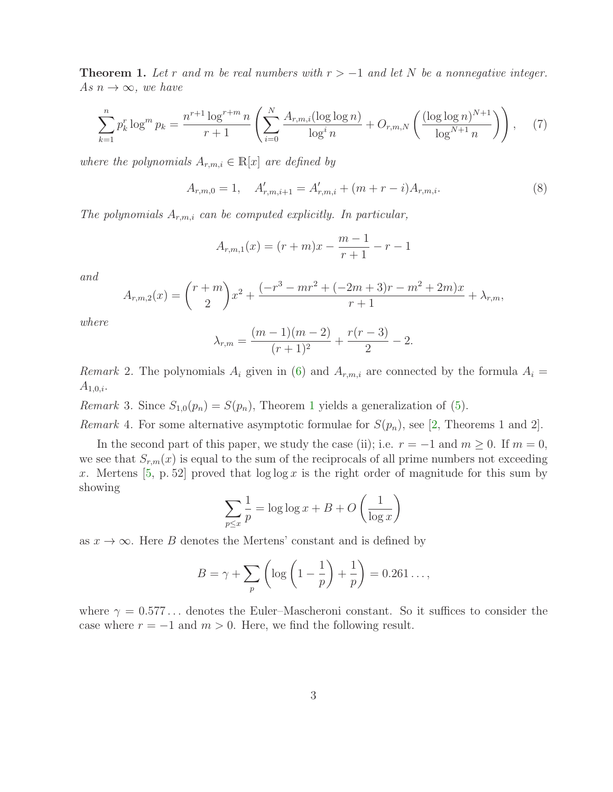<span id="page-2-0"></span>**Theorem 1.** Let r and m be real numbers with  $r > -1$  and let N be a nonnegative integer. *As*  $n \to \infty$ *, we have* 

<span id="page-2-2"></span>
$$
\sum_{k=1}^{n} p_k^r \log^m p_k = \frac{n^{r+1} \log^{r+m} n}{r+1} \left( \sum_{i=0}^{N} \frac{A_{r,m,i} (\log \log n)}{\log^i n} + O_{r,m,N} \left( \frac{(\log \log n)^{N+1}}{\log^{N+1} n} \right) \right), \tag{7}
$$

*where the polynomials*  $A_{r,m,i} \in \mathbb{R}[x]$  *are defined by* 

<span id="page-2-1"></span>
$$
A_{r,m,0} = 1, \quad A'_{r,m,i+1} = A'_{r,m,i} + (m+r-i)A_{r,m,i}.
$$
\n(8)

*The polynomials* Ar,m,i *can be computed explicitly. In particular,*

$$
A_{r,m,1}(x) = (r+m)x - \frac{m-1}{r+1} - r - 1
$$

*and*

$$
A_{r,m,2}(x) = {r+m \choose 2}x^2 + \frac{(-r^3 - mr^2 + (-2m+3)r - m^2 + 2m)x}{r+1} + \lambda_{r,m},
$$

*where*

$$
\lambda_{r,m} = \frac{(m-1)(m-2)}{(r+1)^2} + \frac{r(r-3)}{2} - 2.
$$

*Remark* 2. The polynomials  $A_i$  given in [\(6\)](#page-1-2) and  $A_{r,m,i}$  are connected by the formula  $A_i =$  $A_{1,0,i}.$ 

*Remark* 3*.* Since  $S_{1,0}(p_n) = S(p_n)$  $S_{1,0}(p_n) = S(p_n)$  $S_{1,0}(p_n) = S(p_n)$ , Theorem 1 yields a generalization of [\(5\)](#page-1-3).

*Remark* 4. For some alternative asymptotic formulae for  $S(p_n)$ , see [\[2,](#page-10-6) Theorems 1 and 2].

In the second part of this paper, we study the case (ii); i.e.  $r = -1$  and  $m \ge 0$ . If  $m = 0$ , we see that  $S_{r,m}(x)$  is equal to the sum of the reciprocals of all prime numbers not exceeding x. Mertens  $[5, p. 52]$  proved that  $\log \log x$  is the right order of magnitude for this sum by showing

$$
\sum_{p \le x} \frac{1}{p} = \log \log x + B + O\left(\frac{1}{\log x}\right)
$$

as  $x \to \infty$ . Here B denotes the Mertens' constant and is defined by

$$
B = \gamma + \sum_{p} \left( \log \left( 1 - \frac{1}{p} \right) + \frac{1}{p} \right) = 0.261 \dots,
$$

where  $\gamma = 0.577...$  denotes the Euler–Mascheroni constant. So it suffices to consider the case where  $r = -1$  and  $m > 0$ . Here, we find the following result.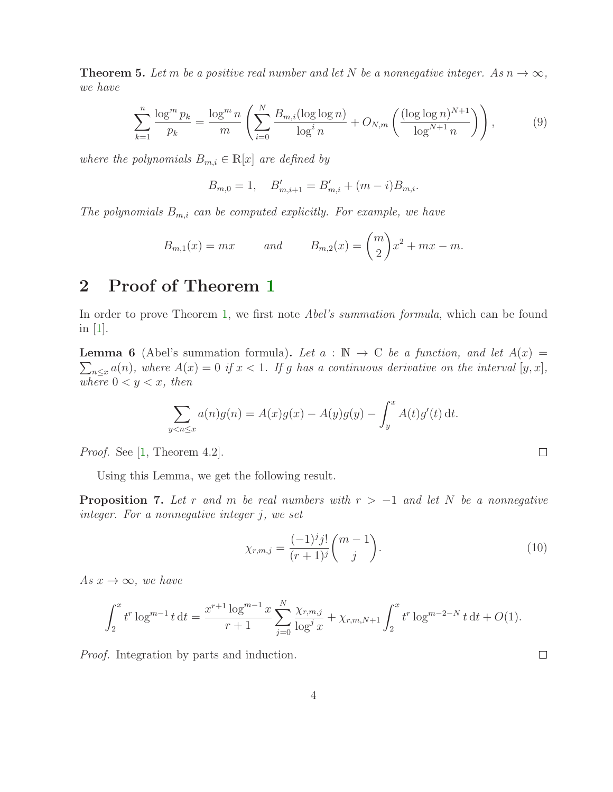<span id="page-3-3"></span>**Theorem 5.** Let m be a positive real number and let N be a nonnegative integer. As  $n \to \infty$ , *we have*

<span id="page-3-4"></span>
$$
\sum_{k=1}^{n} \frac{\log^{m} p_{k}}{p_{k}} = \frac{\log^{m} n}{m} \left( \sum_{i=0}^{N} \frac{B_{m,i}(\log \log n)}{\log^{i} n} + O_{N,m} \left( \frac{(\log \log n)^{N+1}}{\log^{N+1} n} \right) \right),\tag{9}
$$

*where the polynomials*  $B_{m,i} \in \mathbb{R}[x]$  *are defined by* 

$$
B_{m,0} = 1, \quad B'_{m,i+1} = B'_{m,i} + (m-i)B_{m,i}.
$$

*The polynomials* Bm,i *can be computed explicitly. For example, we have*

$$
B_{m,1}(x) = mx \qquad and \qquad B_{m,2}(x) = \binom{m}{2}x^2 + mx - m.
$$

# 2 Proof of Theorem [1](#page-2-0)

In order to prove Theorem [1,](#page-2-0) we first note *Abel's summation formula*, which can be found in [\[1\]](#page-10-8).

<span id="page-3-2"></span>**Lemma 6** (Abel's summation formula). Let  $a : \mathbb{N} \to \mathbb{C}$  be a function, and let  $A(x) =$  $\sum_{n\leq x} a(n)$ *, where*  $A(x) = 0$  *if*  $x < 1$ *. If* g *has a continuous derivative on the interval* [y, x]*,* where  $0 < y < x$ , then

$$
\sum_{y < n \le x} a(n)g(n) = A(x)g(x) - A(y)g(y) - \int_y^x A(t)g'(t) dt.
$$

*Proof.* See [\[1,](#page-10-8) Theorem 4.2].

Using this Lemma, we get the following result.

<span id="page-3-0"></span>**Proposition 7.** Let r and m be real numbers with  $r > -1$  and let N be a nonnegative *integer. For a nonnegative integer* j*, we set*

<span id="page-3-1"></span>
$$
\chi_{r,m,j} = \frac{(-1)^j j!}{(r+1)^j} {m-1 \choose j}.
$$
\n(10)

*As*  $x \to \infty$ *, we have* 

$$
\int_2^x t^r \log^{m-1} t \, dt = \frac{x^{r+1} \log^{m-1} x}{r+1} \sum_{j=0}^N \frac{\chi_{r,m,j}}{\log^j x} + \chi_{r,m,N+1} \int_2^x t^r \log^{m-2-N} t \, dt + O(1).
$$

*Proof.* Integration by parts and induction.

 $\Box$ 

 $\Box$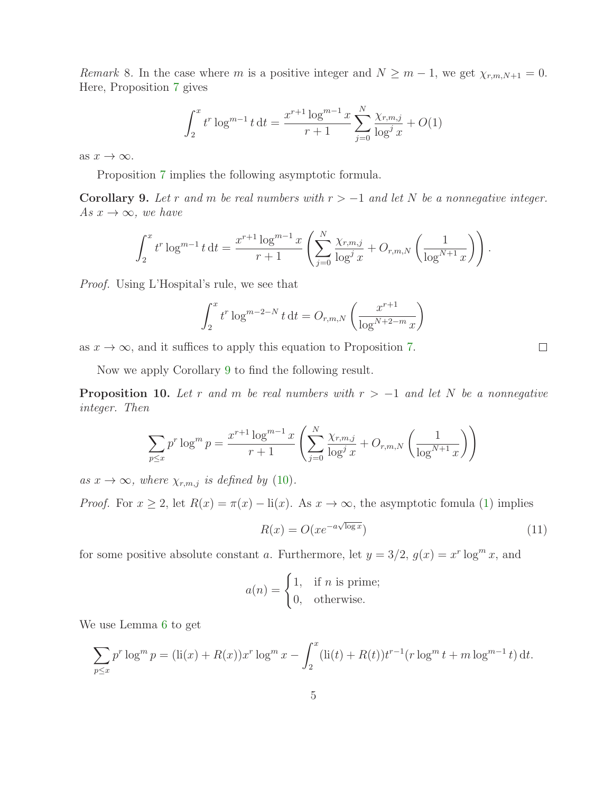*Remark* 8*.* In the case where m is a positive integer and  $N \geq m - 1$ , we get  $\chi_{r,m,N+1} = 0$ . Here, Proposition [7](#page-3-0) gives

$$
\int_{2}^{x} t^{r} \log^{m-1} t dt = \frac{x^{r+1} \log^{m-1} x}{r+1} \sum_{j=0}^{N} \frac{\chi_{r,m,j}}{\log^{j} x} + O(1)
$$

as  $x \to \infty$ .

Proposition [7](#page-3-0) implies the following asymptotic formula.

<span id="page-4-0"></span>Corollary 9. Let r and m be real numbers with  $r > -1$  and let N be a nonnegative integer. *As*  $x \to \infty$ *, we have* 

$$
\int_2^x t^r \log^{m-1} t \, dt = \frac{x^{r+1} \log^{m-1} x}{r+1} \left( \sum_{j=0}^N \frac{\chi_{r,m,j}}{\log^j x} + O_{r,m,N} \left( \frac{1}{\log^{N+1} x} \right) \right).
$$

*Proof.* Using L'Hospital's rule, we see that

$$
\int_{2}^{x} t^{r} \log^{m-2-N} t dt = O_{r,m,N} \left( \frac{x^{r+1}}{\log^{N+2-m} x} \right)
$$

as  $x \to \infty$ , and it suffices to apply this equation to Proposition [7.](#page-3-0)

Now we apply Corollary [9](#page-4-0) to find the following result.

<span id="page-4-2"></span>**Proposition 10.** Let r and m be real numbers with  $r > -1$  and let N be a nonnegative *integer. Then*

$$
\sum_{p \le x} p^r \log^m p = \frac{x^{r+1} \log^{m-1} x}{r+1} \left( \sum_{j=0}^N \frac{\chi_{r,m,j}}{\log^j x} + O_{r,m,N} \left( \frac{1}{\log^{N+1} x} \right) \right)
$$

*as*  $x \to \infty$ *, where*  $\chi_{r,m,j}$  *is defined by* [\(10\)](#page-3-1)*.* 

*Proof.* For  $x \ge 2$ , let  $R(x) = \pi(x) - \text{li}(x)$ . As  $x \to \infty$ , the asymptotic fomula [\(1\)](#page-1-0) implies

<span id="page-4-1"></span>
$$
R(x) = O(xe^{-a\sqrt{\log x}})
$$
\n(11)

for some positive absolute constant a. Furthermore, let  $y = 3/2$ ,  $g(x) = x^r \log^m x$ , and

$$
a(n) = \begin{cases} 1, & \text{if } n \text{ is prime;} \\ 0, & \text{otherwise.} \end{cases}
$$

We use Lemma [6](#page-3-2) to get

$$
\sum_{p \le x} p^r \log^m p = (\text{li}(x) + R(x))x^r \log^m x - \int_2^x (\text{li}(t) + R(t))t^{r-1} (r \log^m t + m \log^{m-1} t) dt.
$$

 $\Box$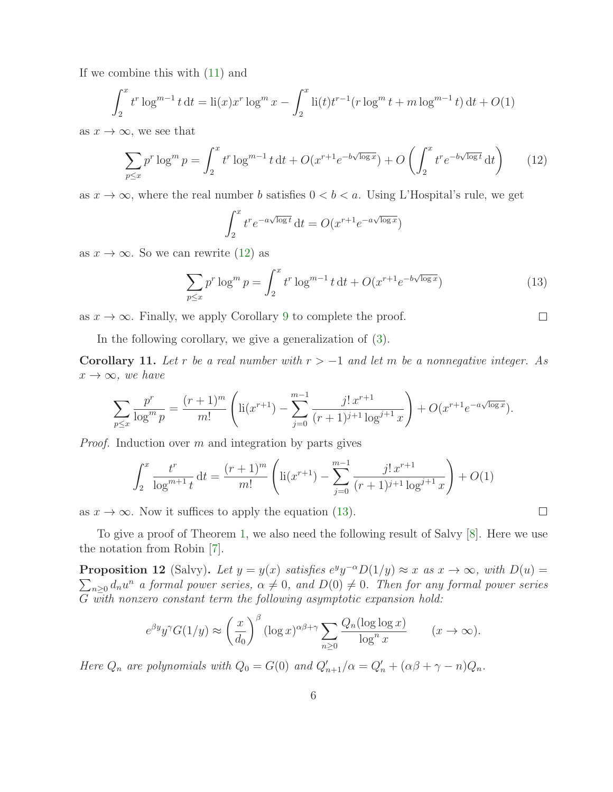If we combine this with [\(11\)](#page-4-1) and

$$
\int_2^x t^r \log^{m-1} t \, dt = \text{li}(x) x^r \log^m x - \int_2^x \text{li}(t) t^{r-1} (r \log^m t + m \log^{m-1} t) \, dt + O(1)
$$

as  $x \to \infty$ , we see that

<span id="page-5-0"></span>
$$
\sum_{p \le x} p^r \log^m p = \int_2^x t^r \log^{m-1} t \, dt + O(x^{r+1} e^{-b\sqrt{\log x}}) + O\left(\int_2^x t^r e^{-b\sqrt{\log t}} \, dt\right) \tag{12}
$$

as  $x \to \infty$ , where the real number b satisfies  $0 < b < a$ . Using L'Hospital's rule, we get

$$
\int_2^x t^r e^{-a\sqrt{\log t}} dt = O(x^{r+1} e^{-a\sqrt{\log x}})
$$

as  $x \to \infty$ . So we can rewrite [\(12\)](#page-5-0) as

<span id="page-5-1"></span>
$$
\sum_{p \le x} p^r \log^m p = \int_2^x t^r \log^{m-1} t \, dt + O(x^{r+1} e^{-b\sqrt{\log x}})
$$
 (13)

 $\Box$ 

 $\Box$ 

as  $x \to \infty$ . Finally, we apply Corollary [9](#page-4-0) to complete the proof.

In the following corollary, we give a generalization of [\(3\)](#page-1-4).

Corollary 11. Let r be a real number with  $r > -1$  and let m be a nonnegative integer. As  $x \rightarrow \infty$ *, we have* 

$$
\sum_{p\leq x} \frac{p^r}{\log^m p} = \frac{(r+1)^m}{m!} \left( \text{li}(x^{r+1}) - \sum_{j=0}^{m-1} \frac{j! \, x^{r+1}}{(r+1)^{j+1} \log^{j+1} x} \right) + O(x^{r+1} e^{-a\sqrt{\log x}}).
$$

*Proof.* Induction over m and integration by parts gives

$$
\int_2^x \frac{t^r}{\log^{m+1} t} dt = \frac{(r+1)^m}{m!} \left( \ln(x^{r+1}) - \sum_{j=0}^{m-1} \frac{j! \, x^{r+1}}{(r+1)^{j+1} \log^{j+1} x} \right) + O(1)
$$

as  $x \to \infty$ . Now it suffices to apply the equation [\(13\)](#page-5-1).

To give a proof of Theorem [1,](#page-2-0) we also need the following result of Salvy [\[8\]](#page-10-5). Here we use the notation from Robin [\[7\]](#page-10-3).

<span id="page-5-2"></span>**Proposition 12** (Salvy). Let  $y = y(x)$  satisfies  $e^y y^{-\alpha} D(1/y) \approx x$  as  $x \to \infty$ , with  $D(u) =$  $\sum_{n\geq 0} d_n u^n$  a formal power series,  $\alpha \neq 0$ , and  $D(0) \neq 0$ . Then for any formal power series G *with nonzero constant term the following asymptotic expansion hold:*

$$
e^{\beta y} y^{\gamma} G(1/y) \approx \left(\frac{x}{d_0}\right)^{\beta} (\log x)^{\alpha \beta + \gamma} \sum_{n \ge 0} \frac{Q_n(\log \log x)}{\log^n x} \qquad (x \to \infty).
$$

*Here*  $Q_n$  *are polynomials with*  $Q_0 = G(0)$  *and*  $Q'_{n+1}/\alpha = Q'_n + (\alpha\beta + \gamma - n)Q_n$ .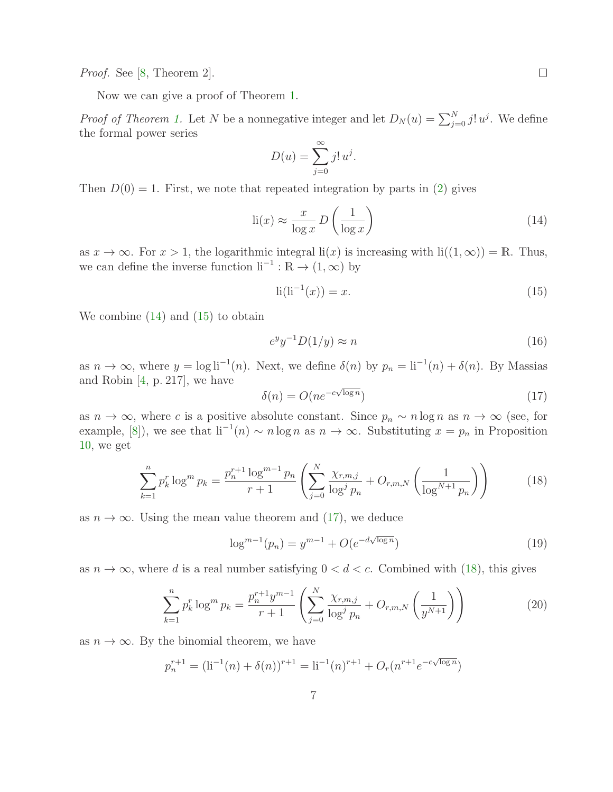*Proof.* See [\[8,](#page-10-5) Theorem 2].

Now we can give a proof of Theorem [1.](#page-2-0)

*Proof of Theorem [1.](#page-2-0)* Let N be a nonnegative integer and let  $D_N(u) = \sum_{j=0}^N j! u^j$ . We define the formal power series

$$
D(u) = \sum_{j=0}^{\infty} j! u^j.
$$

Then  $D(0) = 1$ . First, we note that repeated integration by parts in [\(2\)](#page-1-5) gives

<span id="page-6-0"></span>
$$
li(x) \approx \frac{x}{\log x} D\left(\frac{1}{\log x}\right) \tag{14}
$$

as  $x \to \infty$ . For  $x > 1$ , the logarithmic integral  $\text{li}(x)$  is increasing with  $\text{li}((1,\infty)) = \mathbb{R}$ . Thus, we can define the inverse function  $\mathrm{li}^{-1} : \mathbb{R} \to (1,\infty)$  by

<span id="page-6-1"></span>
$$
li(li^{-1}(x)) = x.
$$
\n
$$
(15)
$$

We combine [\(14\)](#page-6-0) and [\(15\)](#page-6-1) to obtain

<span id="page-6-5"></span>
$$
e^y y^{-1} D(1/y) \approx n \tag{16}
$$

as  $n \to \infty$ , where  $y = \log \mathrm{li}^{-1}(n)$ . Next, we define  $\delta(n)$  by  $p_n = \mathrm{li}^{-1}(n) + \delta(n)$ . By Massias and Robin [\[4,](#page-10-2) p. 217], we have

<span id="page-6-2"></span>
$$
\delta(n) = O(n e^{-c\sqrt{\log n}})
$$
\n(17)

as  $n \to \infty$ , where c is a positive absolute constant. Since  $p_n \sim n \log n$  as  $n \to \infty$  (see, for example, [\[8\]](#page-10-5)), we see that  $\text{li}^{-1}(n) \sim n \log n$  as  $n \to \infty$ . Substituting  $x = p_n$  in Proposition [10,](#page-4-2) we get

<span id="page-6-3"></span>
$$
\sum_{k=1}^{n} p_k^r \log^m p_k = \frac{p_n^{r+1} \log^{m-1} p_n}{r+1} \left( \sum_{j=0}^{N} \frac{\chi_{r,m,j}}{\log^j p_n} + O_{r,m,N} \left( \frac{1}{\log^{N+1} p_n} \right) \right)
$$
(18)

as  $n \to \infty$ . Using the mean value theorem and [\(17\)](#page-6-2), we deduce

<span id="page-6-6"></span>
$$
\log^{m-1}(p_n) = y^{m-1} + O(e^{-d\sqrt{\log n}})
$$
\n(19)

as  $n \to \infty$ , where d is a real number satisfying  $0 < d < c$ . Combined with [\(18\)](#page-6-3), this gives

<span id="page-6-4"></span>
$$
\sum_{k=1}^{n} p_k^r \log^m p_k = \frac{p_n^{r+1} y^{m-1}}{r+1} \left( \sum_{j=0}^{N} \frac{\chi_{r,m,j}}{\log^j p_n} + O_{r,m,N} \left( \frac{1}{y^{N+1}} \right) \right)
$$
(20)

as  $n \to \infty$ . By the binomial theorem, we have

$$
p_n^{r+1} = (\text{li}^{-1}(n) + \delta(n))^{r+1} = \text{li}^{-1}(n)^{r+1} + O_r(n^{r+1}e^{-c\sqrt{\log n}})
$$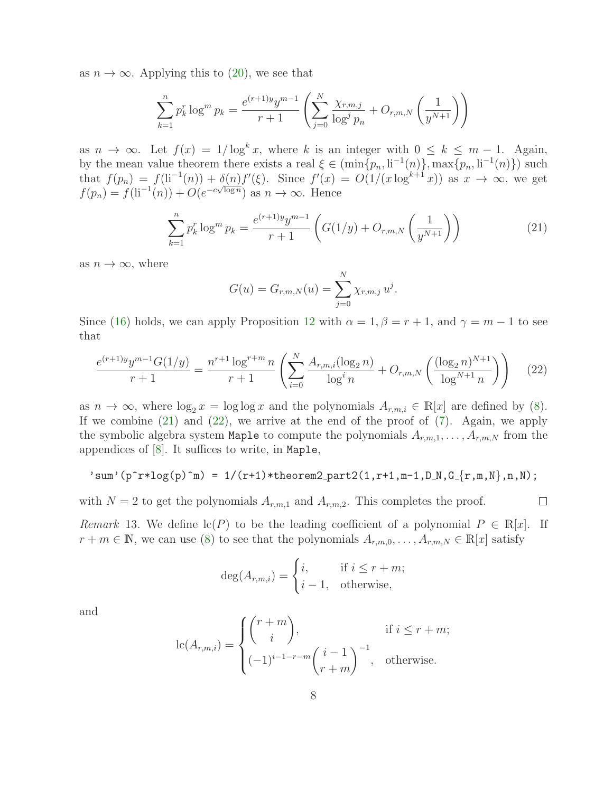as  $n \to \infty$ . Applying this to [\(20\)](#page-6-4), we see that

$$
\sum_{k=1}^{n} p_k^r \log^m p_k = \frac{e^{(r+1)y} y^{m-1}}{r+1} \left( \sum_{j=0}^{N} \frac{\chi_{r,m,j}}{\log^j p_n} + O_{r,m,N} \left( \frac{1}{y^{N+1}} \right) \right)
$$

as  $n \to \infty$ . Let  $f(x) = 1/\log^k x$ , where k is an integer with  $0 \leq k \leq m-1$ . Again, by the mean value theorem there exists a real  $\xi \in (\min\{p_n, \mathrm{li}^{-1}(n)\}, \max\{p_n, \mathrm{li}^{-1}(n)\})$  such that  $f(p_n) = f(\text{li}^{-1}(n)) + \delta(n)f'(\xi)$ . Since  $f'(x) = O(1/(x \log^{k+1} x))$  as  $x \to \infty$ , we get  $f(p_n) = f(\text{li}^{-1}(n)) + O(e^{-c\sqrt{\log n}})$  as  $n \to \infty$ . Hence

<span id="page-7-0"></span>
$$
\sum_{k=1}^{n} p_k^r \log^m p_k = \frac{e^{(r+1)y} y^{m-1}}{r+1} \left( G(1/y) + O_{r,m,N} \left( \frac{1}{y^{N+1}} \right) \right)
$$
(21)

as  $n \to \infty$ , where

$$
G(u) = G_{r,m,N}(u) = \sum_{j=0}^{N} \chi_{r,m,j} u^{j}.
$$

Since [\(16\)](#page-6-5) holds, we can apply Proposition [12](#page-5-2) with  $\alpha = 1, \beta = r + 1$ , and  $\gamma = m - 1$  to see that

<span id="page-7-1"></span>
$$
\frac{e^{(r+1)y}y^{m-1}G(1/y)}{r+1} = \frac{n^{r+1}\log^{r+m}n}{r+1} \left( \sum_{i=0}^{N} \frac{A_{r,m,i}(\log_2 n)}{\log^i n} + O_{r,m,N}\left(\frac{(\log_2 n)^{N+1}}{\log^{N+1} n}\right) \right) \tag{22}
$$

as  $n \to \infty$ , where  $\log_2 x = \log \log x$  and the polynomials  $A_{r,m,i} \in \mathbb{R}[x]$  are defined by [\(8\)](#page-2-1). If we combine  $(21)$  and  $(22)$ , we arrive at the end of the proof of  $(7)$ . Again, we apply the symbolic algebra system Maple to compute the polynomials  $A_{r,m,1}, \ldots, A_{r,m,N}$  from the appendices of [\[8\]](#page-10-5). It suffices to write, in Maple,

'sum' 
$$
(p^r * log(p)^n) = 1/(r+1) * theorem 2-part2(1, r+1, m-1, D_N, G_{r,m,N}, n, N);
$$

 $\Box$ 

with  $N = 2$  to get the polynomials  $A_{r,m,1}$  and  $A_{r,m,2}$ . This completes the proof.

*Remark* 13. We define  $\text{lc}(P)$  to be the leading coefficient of a polynomial  $P \in \mathbb{R}[x]$ . If  $r+m\in\mathbb{N}$ , we can use [\(8\)](#page-2-1) to see that the polynomials  $A_{r,m,0},\ldots,A_{r,m,N}\in\mathbb{R}[x]$  satisfy

$$
\deg(A_{r,m,i}) = \begin{cases} i, & \text{if } i \le r+m; \\ i-1, & \text{otherwise,} \end{cases}
$$

and

$$
lc(A_{r,m,i}) = \begin{cases} {r+m \choose i}, & \text{if } i \leq r+m; \\ (-1)^{i-1-r-m} {i-1 \choose r+m}^{-1}, & \text{otherwise.} \end{cases}
$$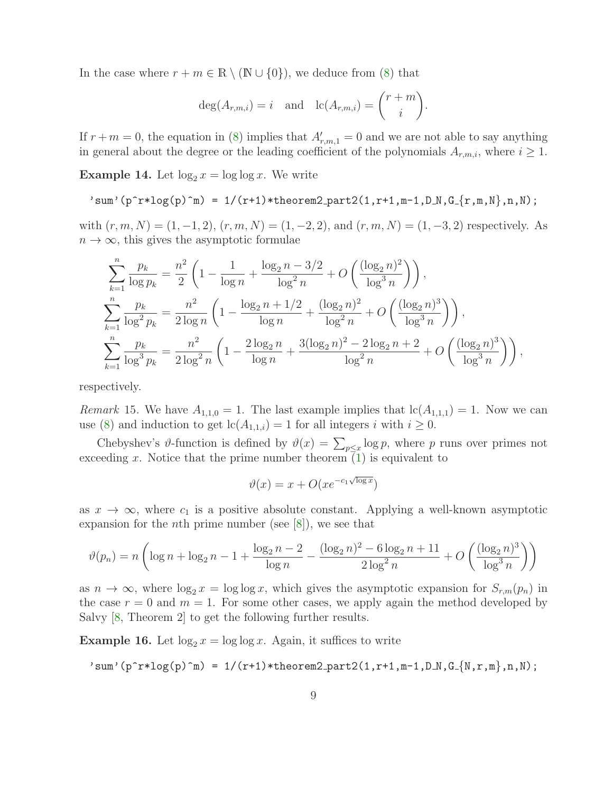In the case where  $r + m \in \mathbb{R} \setminus (\mathbb{N} \cup \{0\})$ , we deduce from [\(8\)](#page-2-1) that

$$
\deg(A_{r,m,i}) = i \quad \text{and} \quad \text{lc}(A_{r,m,i}) = \binom{r+m}{i}.
$$

If  $r+m=0$ , the equation in [\(8\)](#page-2-1) implies that  $A'_{r,m,1}=0$  and we are not able to say anything in general about the degree or the leading coefficient of the polynomials  $A_{r,m,i}$ , where  $i \geq 1$ .

**Example 14.** Let  $\log_2 x = \log \log x$ . We write

'sum'(p^r\*log(p)^m) = 1/(r+1)\*theorem2 part2(1,r+1,m-1,D N,G {r,m,N},n,N);

with  $(r, m, N) = (1, -1, 2), (r, m, N) = (1, -2, 2),$  and  $(r, m, N) = (1, -3, 2)$  respectively. As  $n \to \infty$ , this gives the asymptotic formulae

$$
\sum_{k=1}^{n} \frac{p_k}{\log p_k} = \frac{n^2}{2} \left( 1 - \frac{1}{\log n} + \frac{\log_2 n - 3/2}{\log^2 n} + O\left(\frac{(\log_2 n)^2}{\log^3 n}\right) \right),
$$
  

$$
\sum_{k=1}^{n} \frac{p_k}{\log^2 p_k} = \frac{n^2}{2 \log n} \left( 1 - \frac{\log_2 n + 1/2}{\log n} + \frac{(\log_2 n)^2}{\log^2 n} + O\left(\frac{(\log_2 n)^3}{\log^3 n}\right) \right),
$$
  

$$
\sum_{k=1}^{n} \frac{p_k}{\log^3 p_k} = \frac{n^2}{2 \log^2 n} \left( 1 - \frac{2 \log_2 n}{\log n} + \frac{3(\log_2 n)^2 - 2 \log_2 n + 2}{\log^2 n} + O\left(\frac{(\log_2 n)^3}{\log^3 n}\right) \right),
$$

respectively.

*Remark* 15. We have  $A_{1,1,0} = 1$ . The last example implies that  $lc(A_{1,1,1}) = 1$ . Now we can use [\(8\)](#page-2-1) and induction to get  $lc(A_{1,1,i}) = 1$  for all integers i with  $i \geq 0$ .

Chebyshev's  $\vartheta$ -function is defined by  $\vartheta(x) = \sum_{p \leq x} \log p$ , where p runs over primes not exceeding x. Notice that the prime number theorem  $\overline{1}$ ) is equivalent to

$$
\vartheta(x) = x + O(xe^{-c_1\sqrt{\log x}})
$$

as  $x \to \infty$ , where  $c_1$  is a positive absolute constant. Applying a well-known asymptotic expansion for the *n*th prime number (see  $[8]$ ), we see that

$$
\vartheta(p_n) = n \left( \log n + \log_2 n - 1 + \frac{\log_2 n - 2}{\log n} - \frac{(\log_2 n)^2 - 6 \log_2 n + 11}{2 \log^2 n} + O\left(\frac{(\log_2 n)^3}{\log^3 n}\right) \right)
$$

as  $n \to \infty$ , where  $\log_2 x = \log \log x$ , which gives the asymptotic expansion for  $S_{r,m}(p_n)$  in the case  $r = 0$  and  $m = 1$ . For some other cases, we apply again the method developed by Salvy [\[8,](#page-10-5) Theorem 2] to get the following further results.

**Example 16.** Let  $\log_2 x = \log \log x$ . Again, it suffices to write

$$
'sum'(p^r*log(p)^m) = 1/(r+1)*theorem2-part2(1,r+1,m-1,D_N,G_{N,r,m},n,N);
$$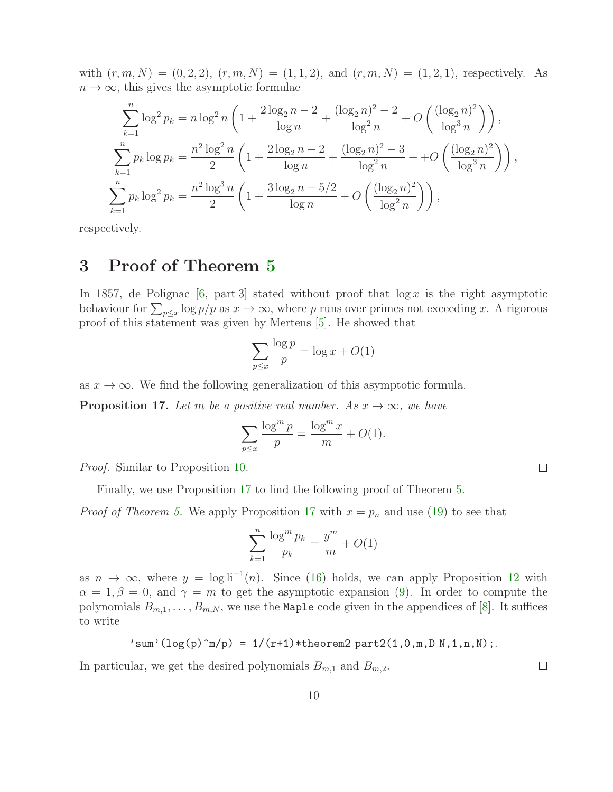with  $(r, m, N) = (0, 2, 2), (r, m, N) = (1, 1, 2),$  and  $(r, m, N) = (1, 2, 1),$  respectively. As  $n \to \infty$ , this gives the asymptotic formulae

$$
\sum_{k=1}^{n} \log^{2} p_{k} = n \log^{2} n \left( 1 + \frac{2 \log_{2} n - 2}{\log n} + \frac{(\log_{2} n)^{2} - 2}{\log^{2} n} + O\left(\frac{(\log_{2} n)^{2}}{\log^{3} n}\right) \right),
$$
\n
$$
\sum_{k=1}^{n} p_{k} \log p_{k} = \frac{n^{2} \log^{2} n}{2} \left( 1 + \frac{2 \log_{2} n - 2}{\log n} + \frac{(\log_{2} n)^{2} - 3}{\log^{2} n} + O\left(\frac{(\log_{2} n)^{2}}{\log^{3} n}\right) \right),
$$
\n
$$
\sum_{k=1}^{n} p_{k} \log^{2} p_{k} = \frac{n^{2} \log^{3} n}{2} \left( 1 + \frac{3 \log_{2} n - 5/2}{\log n} + O\left(\frac{(\log_{2} n)^{2}}{\log^{2} n}\right) \right),
$$

respectively.

## 3 Proof of Theorem [5](#page-3-3)

In 1857, de Polignac  $[6, part 3]$  stated without proof that  $\log x$  is the right asymptotic behaviour for  $\sum_{p \leq x} \log p/p$  as  $x \to \infty$ , where p runs over primes not exceeding x. A rigorous proof of this statement was given by Mertens [\[5\]](#page-10-7). He showed that

$$
\sum_{p \le x} \frac{\log p}{p} = \log x + O(1)
$$

as  $x \to \infty$ . We find the following generalization of this asymptotic formula.

<span id="page-9-0"></span>**Proposition 17.** *Let* m *be a positive real number.* As  $x \to \infty$ *, we have* 

$$
\sum_{p \le x} \frac{\log^m p}{p} = \frac{\log^m x}{m} + O(1).
$$

 $\Box$ 

 $\Box$ 

*Proof.* Similar to Proposition [10.](#page-4-2)

Finally, we use Proposition [17](#page-9-0) to find the following proof of Theorem [5.](#page-3-3)

*Proof of Theorem [5.](#page-3-3)* We apply Proposition [17](#page-9-0) with  $x = p_n$  and use [\(19\)](#page-6-6) to see that

$$
\sum_{k=1}^{n} \frac{\log^m p_k}{p_k} = \frac{y^m}{m} + O(1)
$$

as  $n \to \infty$ , where  $y = \log \mathrm{li}^{-1}(n)$ . Since [\(16\)](#page-6-5) holds, we can apply Proposition [12](#page-5-2) with  $\alpha = 1, \beta = 0$ , and  $\gamma = m$  to get the asymptotic expansion [\(9\)](#page-3-4). In order to compute the polynomials  $B_{m,1}, \ldots, B_{m,N}$ , we use the Maple code given in the appendices of [\[8\]](#page-10-5). It suffices to write

$$
'sum'(log(p)^m/p) = 1/(r+1)*theorem2-part2(1,0,m,D_N,1,n,N);
$$

In particular, we get the desired polynomials  $B_{m,1}$  and  $B_{m,2}$ .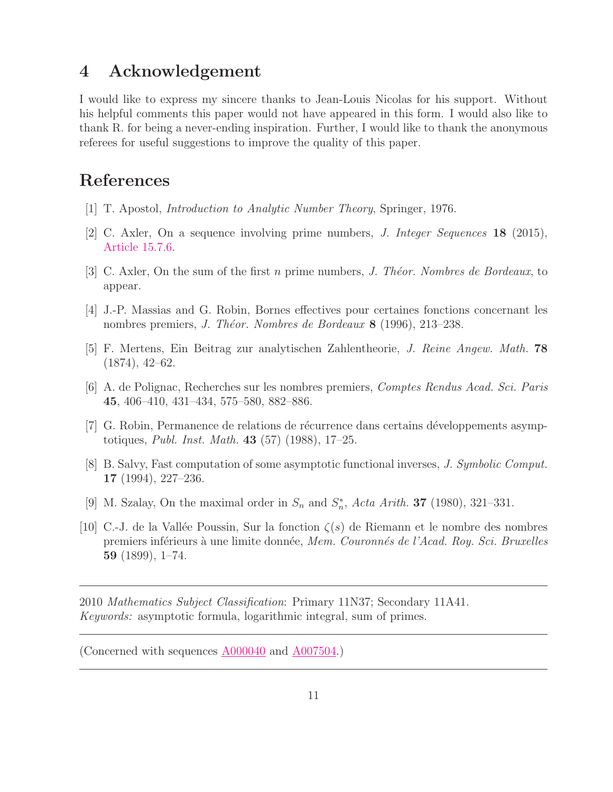### 4 Acknowledgement

I would like to express my sincere thanks to Jean-Louis Nicolas for his support. Without his helpful comments this paper would not have appeared in this form. I would also like to thank R. for being a never-ending inspiration. Further, I would like to thank the anonymous referees for useful suggestions to improve the quality of this paper.

# <span id="page-10-8"></span>References

- <span id="page-10-6"></span>[1] T. Apostol, *Introduction to Analytic Number Theory*, Springer, 1976.
- <span id="page-10-4"></span>[2] C. Axler, On a sequence involving prime numbers, *J. Integer Sequences* 18 (2015), [Article 15.7.6.](https://cs.uwaterloo.ca/journals/JIS/VOL18/Axler/axler6.html)
- <span id="page-10-2"></span>[3] C. Axler, On the sum of the first n prime numbers, *J. Th´eor. Nombres de Bordeaux*, to appear.
- <span id="page-10-7"></span>[4] J.-P. Massias and G. Robin, Bornes effectives pour certaines fonctions concernant les nombres premiers, *J. Théor. Nombres de Bordeaux* 8 (1996), 213–238.
- <span id="page-10-9"></span>[5] F. Mertens, Ein Beitrag zur analytischen Zahlentheorie, *J. Reine Angew. Math.* 78 (1874), 42–62.
- <span id="page-10-3"></span>[6] A. de Polignac, Recherches sur les nombres premiers, *Comptes Rendus Acad. Sci. Paris* 45, 406–410, 431–434, 575–580, 882–886.
- [7] G. Robin, Permanence de relations de récurrence dans certains développements asymptotiques, *Publ. Inst. Math.* 43 (57) (1988), 17–25.
- <span id="page-10-5"></span><span id="page-10-1"></span>[8] B. Salvy, Fast computation of some asymptotic functional inverses, *J. Symbolic Comput.* 17 (1994), 227–236.
- <span id="page-10-0"></span>[9] M. Szalay, On the maximal order in  $S_n$  and  $S_n^*$ , Acta Arith. **37** (1980), 321–331.
- [10] C.-J. de la Vallée Poussin, Sur la fonction  $\zeta(s)$  de Riemann et le nombre des nombres premiers inf´erieurs `a une limite donn´ee, *Mem. Couronn´es de l'Acad. Roy. Sci. Bruxelles* 59 (1899), 1–74.

2010 *Mathematics Subject Classification*: Primary 11N37; Secondary 11A41. *Keywords:* asymptotic formula, logarithmic integral, sum of primes.

(Concerned with sequences [A000040](https://oeis.org/A000040) and [A007504.](https://oeis.org/A007504))